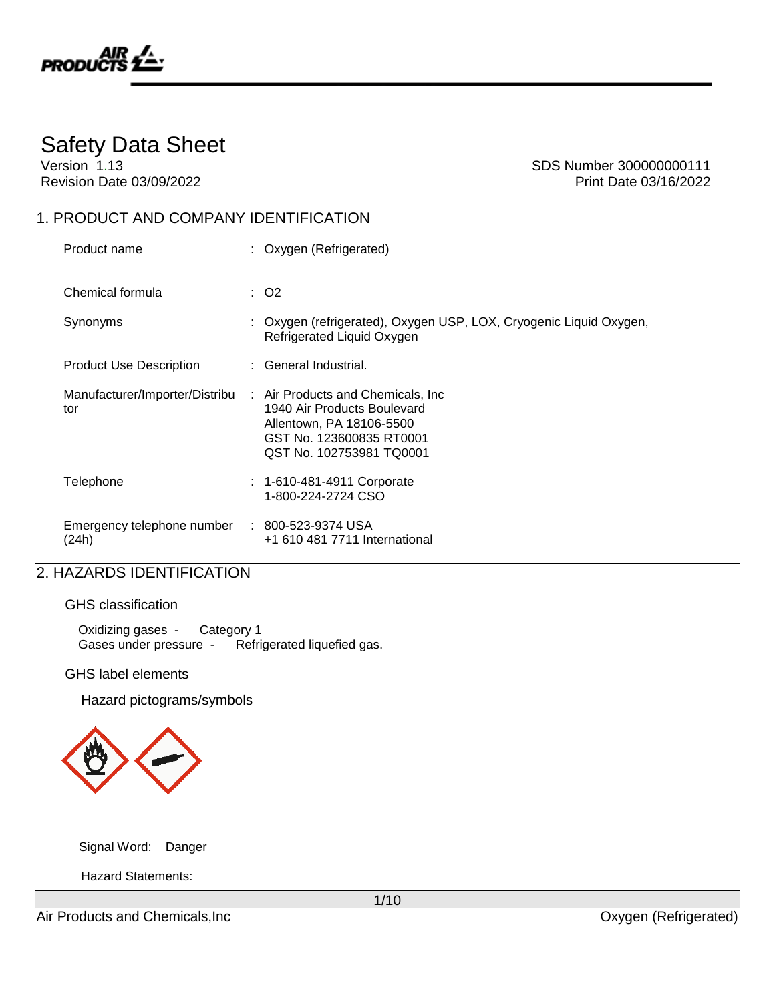

## Safety Data Sheet

Version 1.13 SDS Number 300000000111 Revision Date 03/09/2022 **Print Date 03/16/2022** 

## 1. PRODUCT AND COMPANY IDENTIFICATION

| Product name                          | : Oxygen (Refrigerated)                                                                                                                               |
|---------------------------------------|-------------------------------------------------------------------------------------------------------------------------------------------------------|
| Chemical formula                      | $\therefore$ O2                                                                                                                                       |
| Synonyms                              | : Oxygen (refrigerated), Oxygen USP, LOX, Cryogenic Liquid Oxygen,<br>Refrigerated Liquid Oxygen                                                      |
| <b>Product Use Description</b>        | : General Industrial.                                                                                                                                 |
| Manufacturer/Importer/Distribu<br>tor | : Air Products and Chemicals, Inc.<br>1940 Air Products Boulevard<br>Allentown, PA 18106-5500<br>GST No. 123600835 RT0001<br>QST No. 102753981 TQ0001 |
| Telephone                             | $: 1 - 610 - 481 - 4911$ Corporate<br>1-800-224-2724 CSO                                                                                              |
| Emergency telephone number<br>(24h)   | : 800-523-9374 USA<br>+1 610 481 7711 International                                                                                                   |

## 2. HAZARDS IDENTIFICATION

### GHS classification

Oxidizing gases - Category 1 Gases under pressure - Refrigerated liquefied gas.

### GHS label elements

Hazard pictograms/symbols



Signal Word: Danger

Hazard Statements:

Air Products and Chemicals, Inc **All and Chemicals**, Inc **Canadian Constructs** Capacity Constructs Constructed Construction Constructs Constructed Construction Construction Construction Construction Construction Constructi

1/10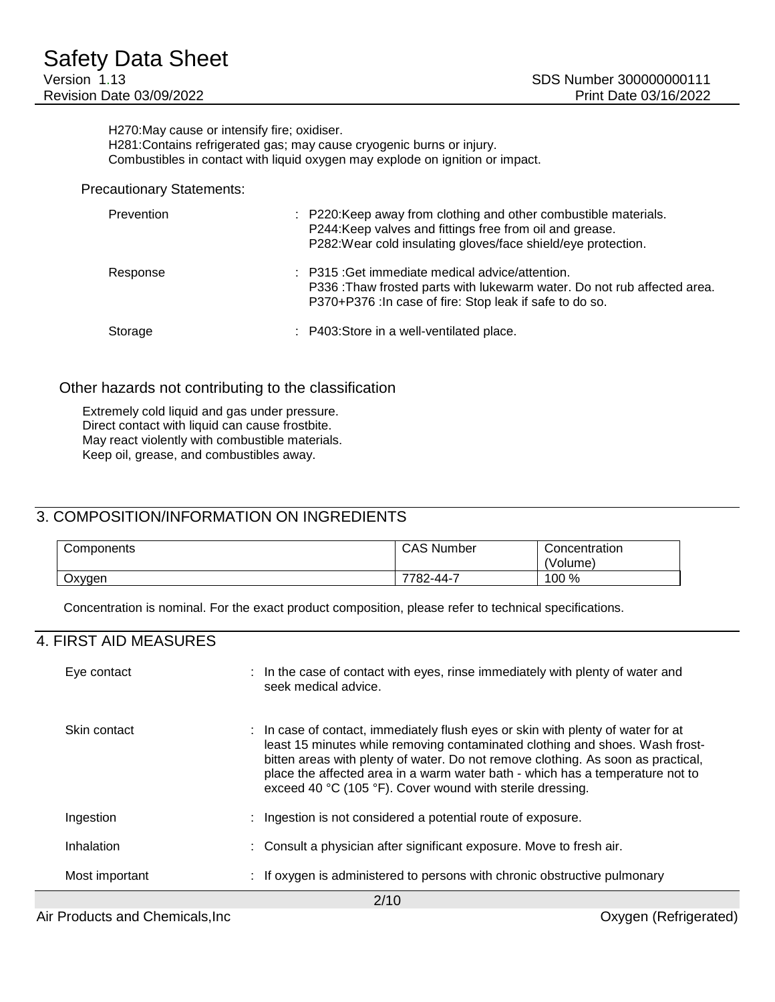H270:May cause or intensify fire; oxidiser. H281:Contains refrigerated gas; may cause cryogenic burns or injury. Combustibles in contact with liquid oxygen may explode on ignition or impact.

#### Precautionary Statements:

| Prevention | : P220: Keep away from clothing and other combustible materials.<br>P244:Keep valves and fittings free from oil and grease.<br>P282: Wear cold insulating gloves/face shield/eye protection.      |
|------------|---------------------------------------------------------------------------------------------------------------------------------------------------------------------------------------------------|
| Response   | $\therefore$ P315 : Get immediate medical advice/attention.<br>P336: Thaw frosted parts with lukewarm water. Do not rub affected area.<br>P370+P376: In case of fire: Stop leak if safe to do so. |
| Storage    | : P403:Store in a well-ventilated place.                                                                                                                                                          |

### Other hazards not contributing to the classification

Extremely cold liquid and gas under pressure. Direct contact with liquid can cause frostbite. May react violently with combustible materials. Keep oil, grease, and combustibles away.

## 3. COMPOSITION/INFORMATION ON INGREDIENTS

| Components | <b>CAS Number</b> | Concentration |
|------------|-------------------|---------------|
|            |                   | 'Volume)      |
| Oxygen     | 7700.<br>782-44-1 | 100 %         |

Concentration is nominal. For the exact product composition, please refer to technical specifications.

### 4. FIRST AID MEASURES

| Eye contact    | : In the case of contact with eyes, rinse immediately with plenty of water and<br>seek medical advice.                                                                                                                                                                                                                                                                                             |
|----------------|----------------------------------------------------------------------------------------------------------------------------------------------------------------------------------------------------------------------------------------------------------------------------------------------------------------------------------------------------------------------------------------------------|
| Skin contact   | : In case of contact, immediately flush eyes or skin with plenty of water for at<br>least 15 minutes while removing contaminated clothing and shoes. Wash frost-<br>bitten areas with plenty of water. Do not remove clothing. As soon as practical,<br>place the affected area in a warm water bath - which has a temperature not to<br>exceed 40 °C (105 °F). Cover wound with sterile dressing. |
| Ingestion      | : Ingestion is not considered a potential route of exposure.                                                                                                                                                                                                                                                                                                                                       |
| Inhalation     | : Consult a physician after significant exposure. Move to fresh air.                                                                                                                                                                                                                                                                                                                               |
| Most important | : If oxygen is administered to persons with chronic obstructive pulmonary                                                                                                                                                                                                                                                                                                                          |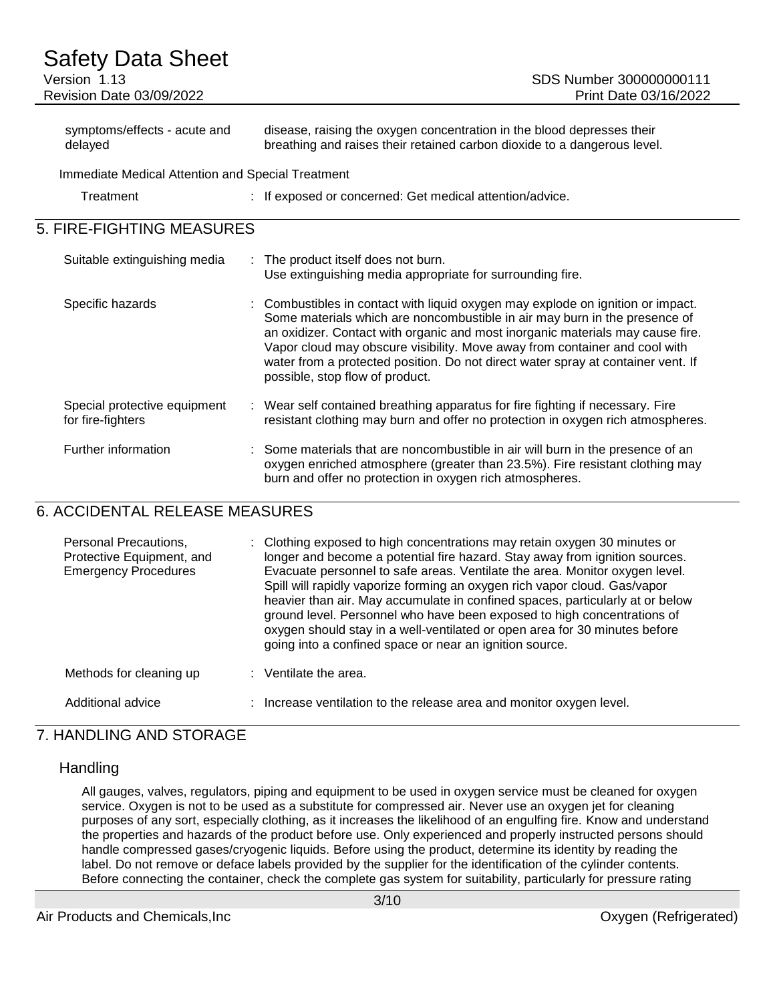### Safety Data Sheet Version 1.13 **SDS Number 300000000111** Revision Date 03/09/2022 Print Date 03/16/2022 symptoms/effects - acute and delayed disease, raising the oxygen concentration in the blood depresses their breathing and raises their retained carbon dioxide to a dangerous level.

Immediate Medical Attention and Special Treatment

| Treatment | If exposed or concerned: Get medical attention/advice. |
|-----------|--------------------------------------------------------|
|           |                                                        |

## 5. FIRE-FIGHTING MEASURES

| Suitable extinguishing media                      | : The product itself does not burn.<br>Use extinguishing media appropriate for surrounding fire.                                                                                                                                                                                                                                                                                                                                                     |
|---------------------------------------------------|------------------------------------------------------------------------------------------------------------------------------------------------------------------------------------------------------------------------------------------------------------------------------------------------------------------------------------------------------------------------------------------------------------------------------------------------------|
| Specific hazards                                  | : Combustibles in contact with liquid oxygen may explode on ignition or impact.<br>Some materials which are noncombustible in air may burn in the presence of<br>an oxidizer. Contact with organic and most inorganic materials may cause fire.<br>Vapor cloud may obscure visibility. Move away from container and cool with<br>water from a protected position. Do not direct water spray at container vent. If<br>possible, stop flow of product. |
| Special protective equipment<br>for fire-fighters | : Wear self contained breathing apparatus for fire fighting if necessary. Fire<br>resistant clothing may burn and offer no protection in oxygen rich atmospheres.                                                                                                                                                                                                                                                                                    |
| Further information                               | : Some materials that are noncombustible in air will burn in the presence of an<br>oxygen enriched atmosphere (greater than 23.5%). Fire resistant clothing may<br>burn and offer no protection in oxygen rich atmospheres.                                                                                                                                                                                                                          |

## 6. ACCIDENTAL RELEASE MEASURES

| Personal Precautions,<br>Protective Equipment, and<br><b>Emergency Procedures</b> | : Clothing exposed to high concentrations may retain oxygen 30 minutes or<br>longer and become a potential fire hazard. Stay away from ignition sources.<br>Evacuate personnel to safe areas. Ventilate the area. Monitor oxygen level.<br>Spill will rapidly vaporize forming an oxygen rich vapor cloud. Gas/vapor<br>heavier than air. May accumulate in confined spaces, particularly at or below<br>ground level. Personnel who have been exposed to high concentrations of<br>oxygen should stay in a well-ventilated or open area for 30 minutes before<br>going into a confined space or near an ignition source. |
|-----------------------------------------------------------------------------------|---------------------------------------------------------------------------------------------------------------------------------------------------------------------------------------------------------------------------------------------------------------------------------------------------------------------------------------------------------------------------------------------------------------------------------------------------------------------------------------------------------------------------------------------------------------------------------------------------------------------------|
| Methods for cleaning up                                                           | $:$ Ventilate the area.                                                                                                                                                                                                                                                                                                                                                                                                                                                                                                                                                                                                   |
| Additional advice                                                                 | : Increase ventilation to the release area and monitor oxygen level.                                                                                                                                                                                                                                                                                                                                                                                                                                                                                                                                                      |

## 7. HANDLING AND STORAGE

### **Handling**

All gauges, valves, regulators, piping and equipment to be used in oxygen service must be cleaned for oxygen service. Oxygen is not to be used as a substitute for compressed air. Never use an oxygen jet for cleaning purposes of any sort, especially clothing, as it increases the likelihood of an engulfing fire. Know and understand the properties and hazards of the product before use. Only experienced and properly instructed persons should handle compressed gases/cryogenic liquids. Before using the product, determine its identity by reading the label. Do not remove or deface labels provided by the supplier for the identification of the cylinder contents. Before connecting the container, check the complete gas system for suitability, particularly for pressure rating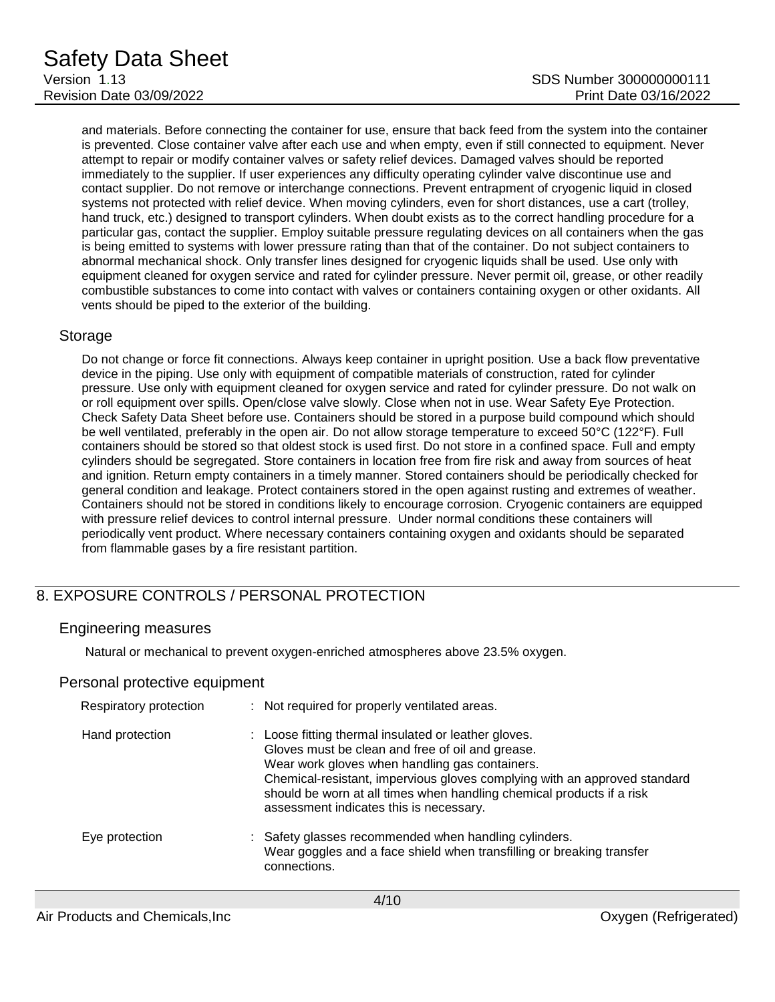and materials. Before connecting the container for use, ensure that back feed from the system into the container is prevented. Close container valve after each use and when empty, even if still connected to equipment. Never attempt to repair or modify container valves or safety relief devices. Damaged valves should be reported immediately to the supplier. If user experiences any difficulty operating cylinder valve discontinue use and contact supplier. Do not remove or interchange connections. Prevent entrapment of cryogenic liquid in closed systems not protected with relief device. When moving cylinders, even for short distances, use a cart (trolley, hand truck, etc.) designed to transport cylinders. When doubt exists as to the correct handling procedure for a particular gas, contact the supplier. Employ suitable pressure regulating devices on all containers when the gas is being emitted to systems with lower pressure rating than that of the container. Do not subject containers to abnormal mechanical shock. Only transfer lines designed for cryogenic liquids shall be used. Use only with equipment cleaned for oxygen service and rated for cylinder pressure. Never permit oil, grease, or other readily combustible substances to come into contact with valves or containers containing oxygen or other oxidants. All vents should be piped to the exterior of the building.

### Storage

Do not change or force fit connections. Always keep container in upright position. Use a back flow preventative device in the piping. Use only with equipment of compatible materials of construction, rated for cylinder pressure. Use only with equipment cleaned for oxygen service and rated for cylinder pressure. Do not walk on or roll equipment over spills. Open/close valve slowly. Close when not in use. Wear Safety Eye Protection. Check Safety Data Sheet before use. Containers should be stored in a purpose build compound which should be well ventilated, preferably in the open air. Do not allow storage temperature to exceed 50°C (122°F). Full containers should be stored so that oldest stock is used first. Do not store in a confined space. Full and empty cylinders should be segregated. Store containers in location free from fire risk and away from sources of heat and ignition. Return empty containers in a timely manner. Stored containers should be periodically checked for general condition and leakage. Protect containers stored in the open against rusting and extremes of weather. Containers should not be stored in conditions likely to encourage corrosion. Cryogenic containers are equipped with pressure relief devices to control internal pressure. Under normal conditions these containers will periodically vent product. Where necessary containers containing oxygen and oxidants should be separated from flammable gases by a fire resistant partition.

## 8. EXPOSURE CONTROLS / PERSONAL PROTECTION

### Engineering measures

Natural or mechanical to prevent oxygen-enriched atmospheres above 23.5% oxygen.

### Personal protective equipment

| Respiratory protection | : Not required for properly ventilated areas.                                                                                                                                                                                                                                                                                                               |
|------------------------|-------------------------------------------------------------------------------------------------------------------------------------------------------------------------------------------------------------------------------------------------------------------------------------------------------------------------------------------------------------|
| Hand protection        | : Loose fitting thermal insulated or leather gloves.<br>Gloves must be clean and free of oil and grease.<br>Wear work gloves when handling gas containers.<br>Chemical-resistant, impervious gloves complying with an approved standard<br>should be worn at all times when handling chemical products if a risk<br>assessment indicates this is necessary. |
| Eye protection         | : Safety glasses recommended when handling cylinders.<br>Wear goggles and a face shield when transfilling or breaking transfer<br>connections.                                                                                                                                                                                                              |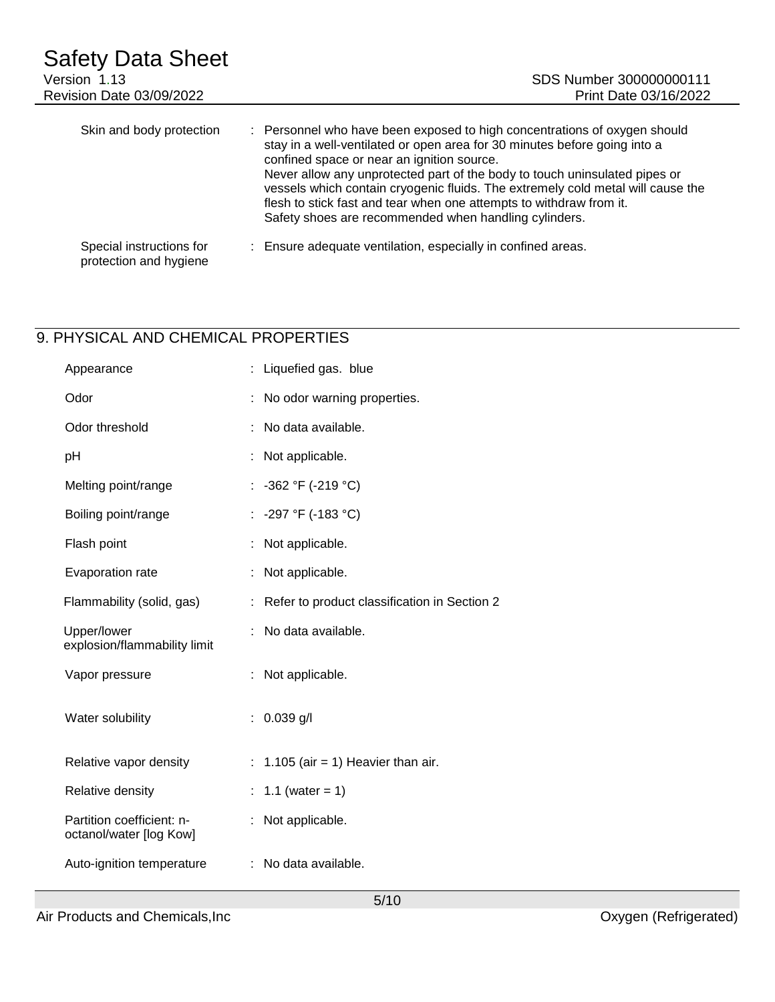| Safety Data Sheet<br>Version 1.13<br>Revision Date 03/09/2022 | SDS Number 300000000111<br>Print Date 03/16/2022                                                                                                                                                                                                                                                                                                                                                                                                                                                      |
|---------------------------------------------------------------|-------------------------------------------------------------------------------------------------------------------------------------------------------------------------------------------------------------------------------------------------------------------------------------------------------------------------------------------------------------------------------------------------------------------------------------------------------------------------------------------------------|
| Skin and body protection                                      | : Personnel who have been exposed to high concentrations of oxygen should<br>stay in a well-ventilated or open area for 30 minutes before going into a<br>confined space or near an ignition source.<br>Never allow any unprotected part of the body to touch uninsulated pipes or<br>vessels which contain cryogenic fluids. The extremely cold metal will cause the<br>flesh to stick fast and tear when one attempts to withdraw from it.<br>Safety shoes are recommended when handling cylinders. |
| Special instructions for<br>protection and hygiene            | : Ensure adequate ventilation, especially in confined areas.                                                                                                                                                                                                                                                                                                                                                                                                                                          |

## 9. PHYSICAL AND CHEMICAL PROPERTIES

| Appearance                                           | : Liquefied gas. blue                        |
|------------------------------------------------------|----------------------------------------------|
| Odor                                                 | No odor warning properties.                  |
| Odor threshold                                       | No data available.                           |
| pH                                                   | : Not applicable.                            |
| Melting point/range                                  | : $-362$ °F ( $-219$ °C)                     |
| Boiling point/range                                  | : -297 °F (-183 °C)                          |
| Flash point                                          | Not applicable.                              |
| Evaporation rate                                     | Not applicable.                              |
| Flammability (solid, gas)                            | Refer to product classification in Section 2 |
| Upper/lower<br>explosion/flammability limit          | No data available.                           |
| Vapor pressure                                       | Not applicable.                              |
| Water solubility                                     | $: 0.039$ g/l                                |
| Relative vapor density                               | : $1.105$ (air = 1) Heavier than air.        |
| Relative density                                     | 1.1 (water = $1$ )                           |
|                                                      |                                              |
| Partition coefficient: n-<br>octanol/water [log Kow] | : Not applicable.                            |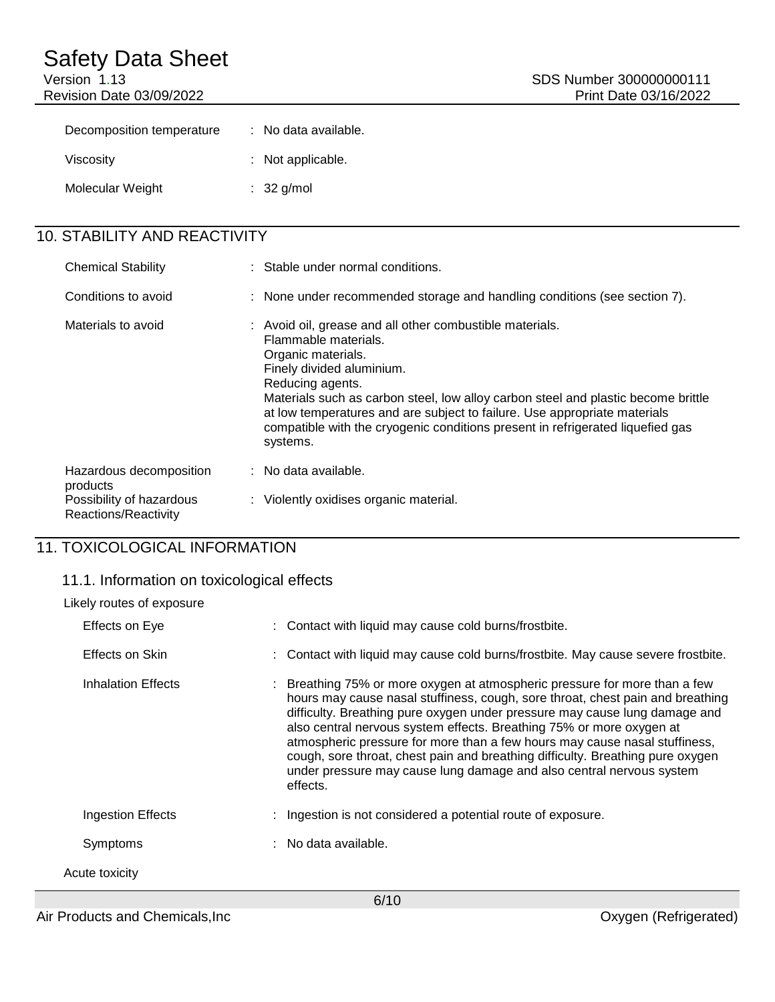# Safety Data Sheet<br>Version 1.13

Revision Date 03/09/2022

| Decomposition temperature | : No data available. |
|---------------------------|----------------------|
| Viscosity                 | : Not applicable.    |
| Molecular Weight          | $: 32$ g/mol         |

## 10. STABILITY AND REACTIVITY

| <b>Chemical Stability</b>                        | : Stable under normal conditions.                                                                                                                                                                                                                                                                                                                                                                                       |  |
|--------------------------------------------------|-------------------------------------------------------------------------------------------------------------------------------------------------------------------------------------------------------------------------------------------------------------------------------------------------------------------------------------------------------------------------------------------------------------------------|--|
| Conditions to avoid                              | : None under recommended storage and handling conditions (see section 7).                                                                                                                                                                                                                                                                                                                                               |  |
| Materials to avoid                               | : Avoid oil, grease and all other combustible materials.<br>Flammable materials.<br>Organic materials.<br>Finely divided aluminium.<br>Reducing agents.<br>Materials such as carbon steel, low alloy carbon steel and plastic become brittle<br>at low temperatures and are subject to failure. Use appropriate materials<br>compatible with the cryogenic conditions present in refrigerated liquefied gas<br>systems. |  |
| Hazardous decomposition<br>products              | : No data available.                                                                                                                                                                                                                                                                                                                                                                                                    |  |
| Possibility of hazardous<br>Reactions/Reactivity | : Violently oxidises organic material.                                                                                                                                                                                                                                                                                                                                                                                  |  |

## 11. TOXICOLOGICAL INFORMATION

## 11.1. Information on toxicological effects

| Likely routes of exposure |                    |  |                                                                                                                                                                                                                                                                                                                                                                                                                                                                                                                                                                        |
|---------------------------|--------------------|--|------------------------------------------------------------------------------------------------------------------------------------------------------------------------------------------------------------------------------------------------------------------------------------------------------------------------------------------------------------------------------------------------------------------------------------------------------------------------------------------------------------------------------------------------------------------------|
|                           | Effects on Eye     |  | : Contact with liquid may cause cold burns/frostbite.                                                                                                                                                                                                                                                                                                                                                                                                                                                                                                                  |
|                           | Effects on Skin    |  | : Contact with liquid may cause cold burns/frostbite. May cause severe frostbite.                                                                                                                                                                                                                                                                                                                                                                                                                                                                                      |
|                           | Inhalation Effects |  | : Breathing 75% or more oxygen at atmospheric pressure for more than a few<br>hours may cause nasal stuffiness, cough, sore throat, chest pain and breathing<br>difficulty. Breathing pure oxygen under pressure may cause lung damage and<br>also central nervous system effects. Breathing 75% or more oxygen at<br>atmospheric pressure for more than a few hours may cause nasal stuffiness,<br>cough, sore throat, chest pain and breathing difficulty. Breathing pure oxygen<br>under pressure may cause lung damage and also central nervous system<br>effects. |
|                           | Ingestion Effects  |  | Ingestion is not considered a potential route of exposure.                                                                                                                                                                                                                                                                                                                                                                                                                                                                                                             |
|                           | Symptoms           |  | : No data available.                                                                                                                                                                                                                                                                                                                                                                                                                                                                                                                                                   |
|                           | Acute toxicity     |  |                                                                                                                                                                                                                                                                                                                                                                                                                                                                                                                                                                        |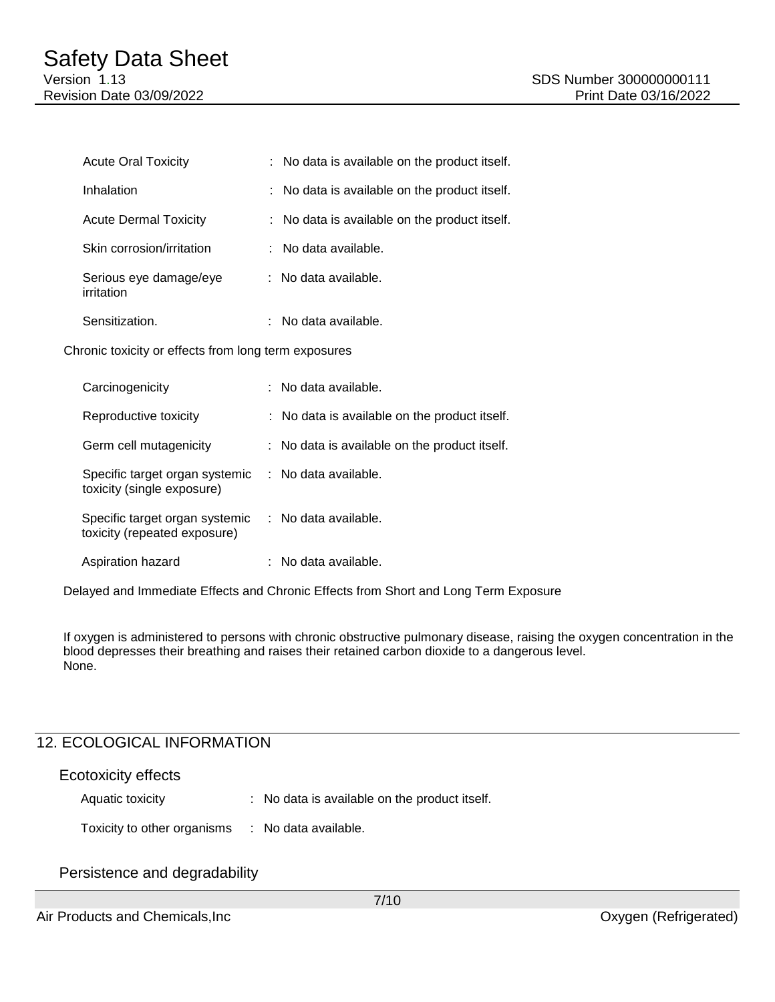| <b>Acute Oral Toxicity</b>           | : No data is available on the product itself. |
|--------------------------------------|-----------------------------------------------|
| Inhalation                           | : No data is available on the product itself. |
| <b>Acute Dermal Toxicity</b>         | : No data is available on the product itself. |
| Skin corrosion/irritation            | $:$ No data available.                        |
| Serious eye damage/eye<br>irritation | : No data available.                          |
| Sensitization.                       | : No data available.                          |

Chronic toxicity or effects from long term exposures

| Carcinogenicity                                                | : No data available.                          |
|----------------------------------------------------------------|-----------------------------------------------|
| Reproductive toxicity                                          | : No data is available on the product itself. |
| Germ cell mutagenicity                                         | : No data is available on the product itself. |
| Specific target organ systemic<br>toxicity (single exposure)   | $:$ No data available.                        |
| Specific target organ systemic<br>toxicity (repeated exposure) | $\therefore$ No data available.               |
| Aspiration hazard                                              | : No data available.                          |

Delayed and Immediate Effects and Chronic Effects from Short and Long Term Exposure

If oxygen is administered to persons with chronic obstructive pulmonary disease, raising the oxygen concentration in the blood depresses their breathing and raises their retained carbon dioxide to a dangerous level. None.

## 12. ECOLOGICAL INFORMATION

| <b>Ecotoxicity effects</b>  |                                               |
|-----------------------------|-----------------------------------------------|
| Aquatic toxicity            | : No data is available on the product itself. |
| Toxicity to other organisms | No data available.                            |

### Persistence and degradability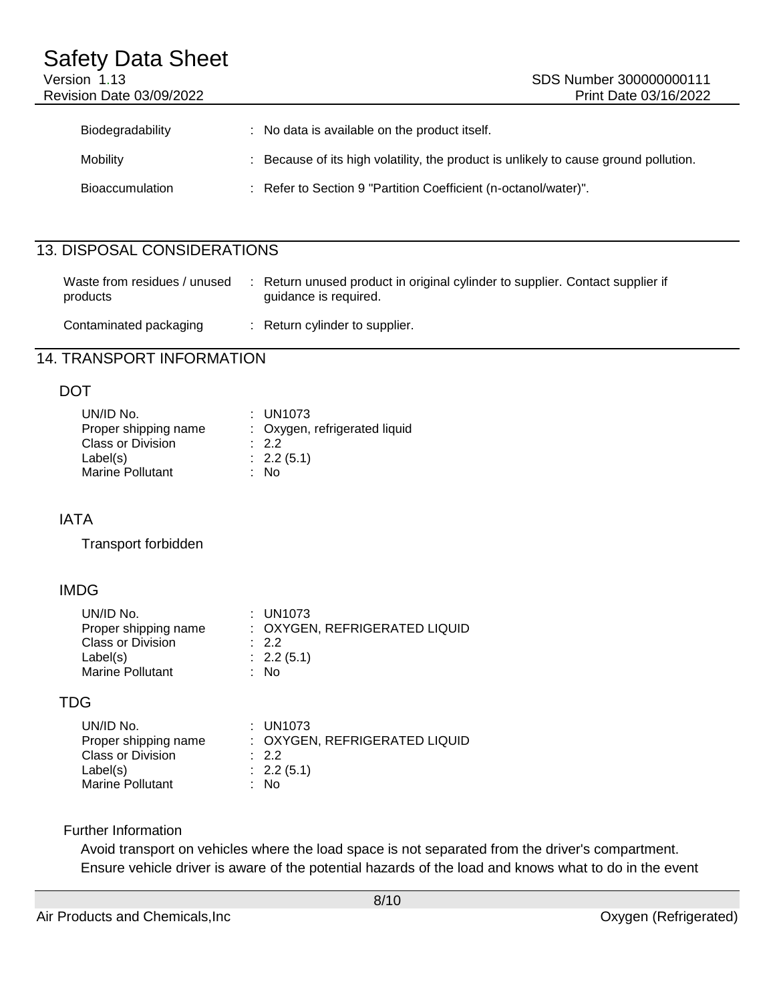| Bioaccumulation | Refer to Section 9 "Partition Coefficient (n-octanol/water)". |  |
|-----------------|---------------------------------------------------------------|--|

## 13. DISPOSAL CONSIDERATIONS

| Waste from residues / unused<br>products | Return unused product in original cylinder to supplier. Contact supplier if<br>quidance is required. |
|------------------------------------------|------------------------------------------------------------------------------------------------------|
| Contaminated packaging                   | : Return cylinder to supplier.                                                                       |

## 14. TRANSPORT INFORMATION

### DOT

| UN/ID No.                | $:$ UN1073                    |
|--------------------------|-------------------------------|
| Proper shipping name     | : Oxygen, refrigerated liquid |
| <b>Class or Division</b> | .22                           |
| Label(s)                 | : 2.2(5.1)                    |
| <b>Marine Pollutant</b>  | : No                          |

## IATA

Transport forbidden

## IMDG

| UN/ID No.                | $:$ UN1073                    |
|--------------------------|-------------------------------|
| Proper shipping name     | : OXYGEN, REFRIGERATED LIQUID |
| <b>Class or Division</b> | $\therefore$ 2.2              |
| Label(s)                 | : 2.2(5.1)                    |
| <b>Marine Pollutant</b>  | : No                          |

## TDG

| UN/ID No.                | : UN1073                      |
|--------------------------|-------------------------------|
| Proper shipping name     | : OXYGEN, REFRIGERATED LIQUID |
| <b>Class or Division</b> | $\therefore$ 2.2              |
| Label(s)                 | $\therefore$ 2.2 (5.1)        |
| <b>Marine Pollutant</b>  | : No                          |

### Further Information

Avoid transport on vehicles where the load space is not separated from the driver's compartment. Ensure vehicle driver is aware of the potential hazards of the load and knows what to do in the event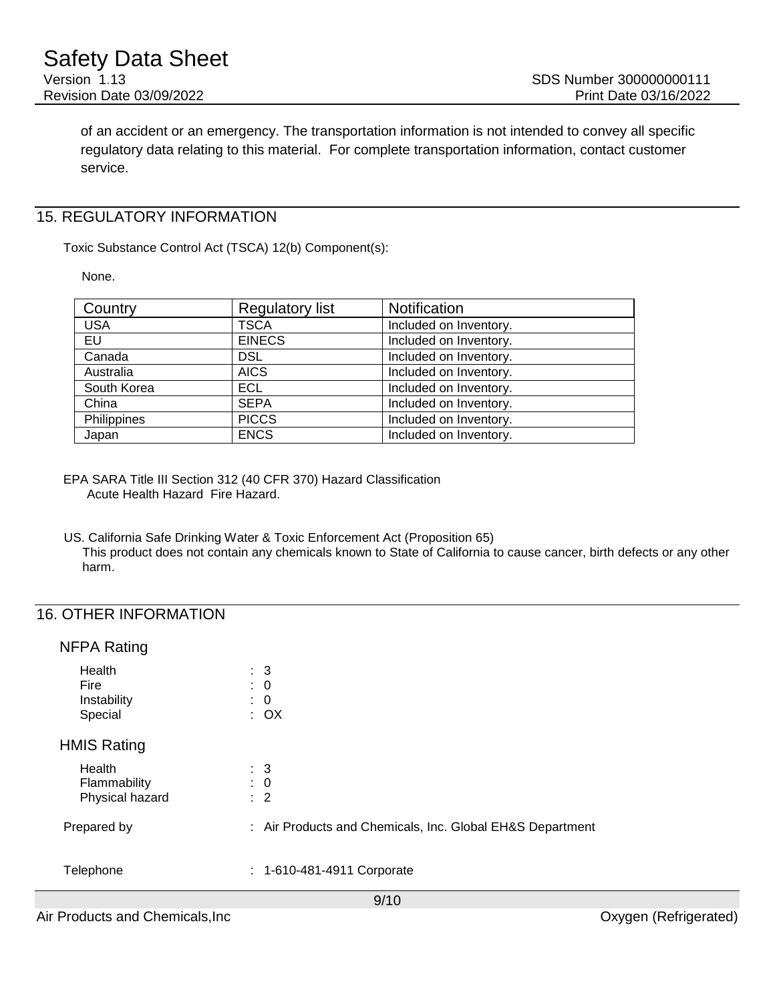of an accident or an emergency. The transportation information is not intended to convey all specific regulatory data relating to this material. For complete transportation information, contact customer service.

### 15. REGULATORY INFORMATION

Toxic Substance Control Act (TSCA) 12(b) Component(s):

None.

| Country     | <b>Regulatory list</b> | <b>Notification</b>    |
|-------------|------------------------|------------------------|
| <b>USA</b>  | <b>TSCA</b>            | Included on Inventory. |
| EU          | <b>EINECS</b>          | Included on Inventory. |
| Canada      | <b>DSL</b>             | Included on Inventory. |
| Australia   | <b>AICS</b>            | Included on Inventory. |
| South Korea | ECL.                   | Included on Inventory. |
| China       | <b>SEPA</b>            | Included on Inventory. |
| Philippines | <b>PICCS</b>           | Included on Inventory. |
| Japan       | <b>ENCS</b>            | Included on Inventory. |

EPA SARA Title III Section 312 (40 CFR 370) Hazard Classification Acute Health Hazard Fire Hazard.

US. California Safe Drinking Water & Toxic Enforcement Act (Proposition 65) This product does not contain any chemicals known to State of California to cause cancer, birth defects or any other harm.

### 16. OTHER INFORMATION

### NFPA Rating

| Health<br><b>Fire</b><br>Instability<br>Special | $\therefore$ 3<br>$\therefore$ 0<br>$\colon 0$<br>$\therefore$ OX |
|-------------------------------------------------|-------------------------------------------------------------------|
| <b>HMIS Rating</b>                              |                                                                   |
| Health<br>Flammability<br>Physical hazard       | $\therefore$ 3<br>$\therefore$ 0<br>$\therefore$ 2                |
| Prepared by                                     | : Air Products and Chemicals, Inc. Global EH&S Department         |
| Telephone                                       | : 1-610-481-4911 Corporate                                        |